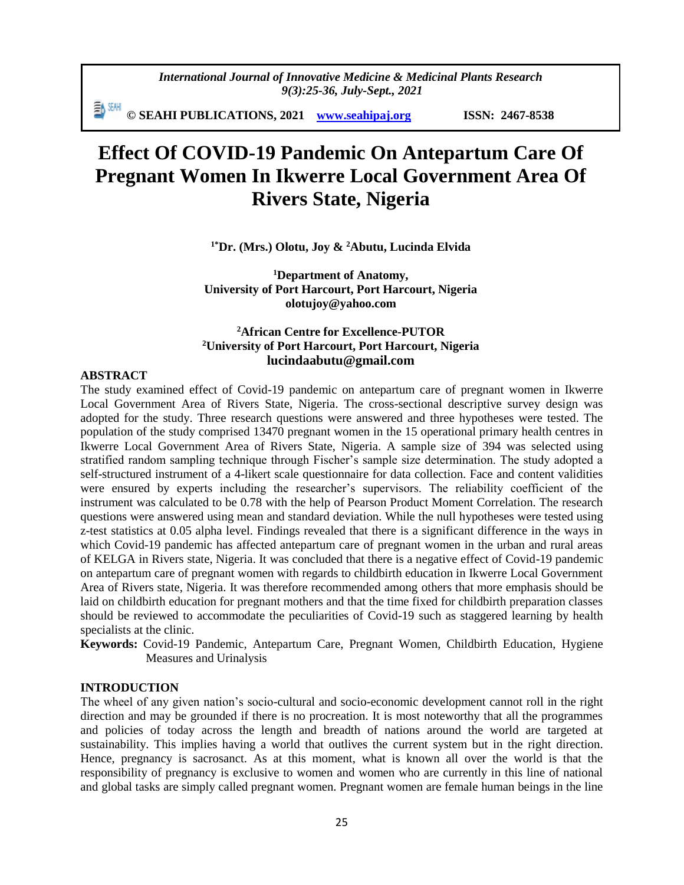*International Journal of Innovative Medicine & Medicinal Plants Research 9(3):25-36, July-Sept., 2021*

EN SEAH **© SEAHI PUBLICATIONS, 2021 [www.seahipaj.org](http://www.seahipaj.org/) ISSN: 2467-8538**

# **Effect Of COVID-19 Pandemic On Antepartum Care Of Pregnant Women In Ikwerre Local Government Area Of Rivers State, Nigeria**

**1\*Dr. (Mrs.) Olotu, Joy & <sup>2</sup>Abutu, Lucinda Elvida** 

**<sup>1</sup>Department of Anatomy, University of Port Harcourt, Port Harcourt, Nigeria [olotujoy@yahoo.com](mailto:olotujoy@yahoo.com)**

# **<sup>2</sup>African Centre for Excellence-PUTOR <sup>2</sup>University of Port Harcourt, Port Harcourt, Nigeria lucindaabutu@gmail.com**

#### **ABSTRACT**

The study examined effect of Covid-19 pandemic on antepartum care of pregnant women in Ikwerre Local Government Area of Rivers State, Nigeria. The cross-sectional descriptive survey design was adopted for the study. Three research questions were answered and three hypotheses were tested. The population of the study comprised 13470 pregnant women in the 15 operational primary health centres in Ikwerre Local Government Area of Rivers State, Nigeria. A sample size of 394 was selected using stratified random sampling technique through Fischer's sample size determination. The study adopted a self-structured instrument of a 4-likert scale questionnaire for data collection. Face and content validities were ensured by experts including the researcher's supervisors. The reliability coefficient of the instrument was calculated to be 0.78 with the help of Pearson Product Moment Correlation. The research questions were answered using mean and standard deviation. While the null hypotheses were tested using z-test statistics at 0.05 alpha level. Findings revealed that there is a significant difference in the ways in which Covid-19 pandemic has affected antepartum care of pregnant women in the urban and rural areas of KELGA in Rivers state, Nigeria. It was concluded that there is a negative effect of Covid-19 pandemic on antepartum care of pregnant women with regards to childbirth education in Ikwerre Local Government Area of Rivers state, Nigeria. It was therefore recommended among others that more emphasis should be laid on childbirth education for pregnant mothers and that the time fixed for childbirth preparation classes should be reviewed to accommodate the peculiarities of Covid-19 such as staggered learning by health specialists at the clinic.

**Keywords:** Covid-19 Pandemic, Antepartum Care, Pregnant Women, Childbirth Education, Hygiene Measures and Urinalysis

#### **INTRODUCTION**

The wheel of any given nation's socio-cultural and socio-economic development cannot roll in the right direction and may be grounded if there is no procreation. It is most noteworthy that all the programmes and policies of today across the length and breadth of nations around the world are targeted at sustainability. This implies having a world that outlives the current system but in the right direction. Hence, pregnancy is sacrosanct. As at this moment, what is known all over the world is that the responsibility of pregnancy is exclusive to women and women who are currently in this line of national and global tasks are simply called pregnant women. Pregnant women are female human beings in the line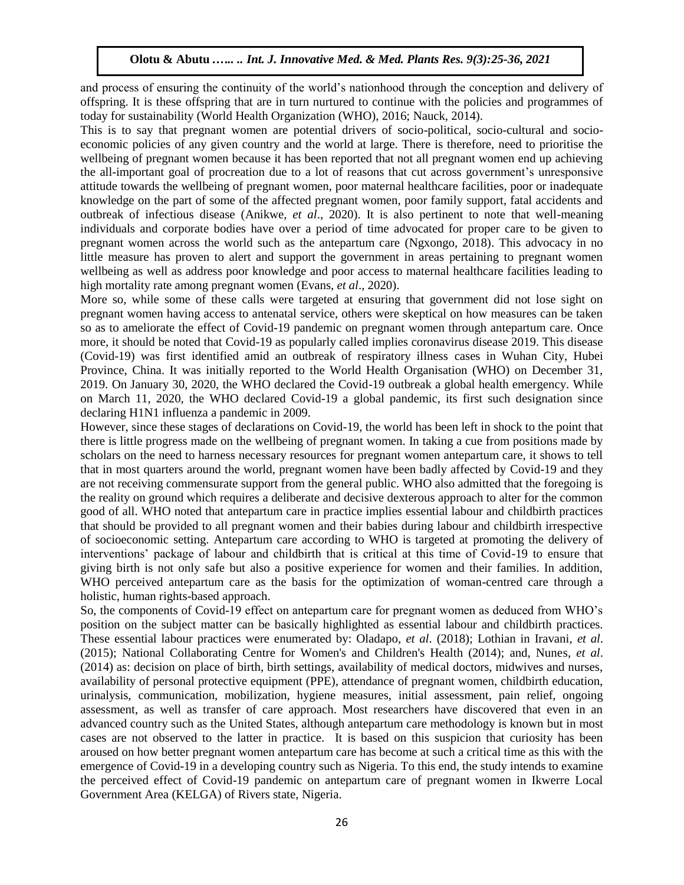and process of ensuring the continuity of the world's nationhood through the conception and delivery of offspring. It is these offspring that are in turn nurtured to continue with the policies and programmes of today for sustainability (World Health Organization (WHO), 2016; Nauck, 2014).

This is to say that pregnant women are potential drivers of socio-political, socio-cultural and socioeconomic policies of any given country and the world at large. There is therefore, need to prioritise the wellbeing of pregnant women because it has been reported that not all pregnant women end up achieving the all-important goal of procreation due to a lot of reasons that cut across government's unresponsive attitude towards the wellbeing of pregnant women, poor maternal healthcare facilities, poor or inadequate knowledge on the part of some of the affected pregnant women, poor family support, fatal accidents and outbreak of infectious disease (Anikwe, *et al*., 2020). It is also pertinent to note that well-meaning individuals and corporate bodies have over a period of time advocated for proper care to be given to pregnant women across the world such as the antepartum care (Ngxongo, 2018). This advocacy in no little measure has proven to alert and support the government in areas pertaining to pregnant women wellbeing as well as address poor knowledge and poor access to maternal healthcare facilities leading to high mortality rate among pregnant women (Evans, *et al*., 2020).

More so, while some of these calls were targeted at ensuring that government did not lose sight on pregnant women having access to antenatal service, others were skeptical on how measures can be taken so as to ameliorate the effect of Covid-19 pandemic on pregnant women through antepartum care. Once more, it should be noted that Covid-19 as popularly called implies coronavirus disease 2019. This disease (Covid-19) was first identified amid an outbreak of respiratory illness cases in Wuhan City, Hubei Province, China. It was initially reported to the World Health Organisation (WHO) on December 31, 2019. On January 30, 2020, the WHO declared the Covid-19 outbreak a global health emergency. While on March 11, 2020, the WHO declared Covid-19 a global pandemic, its first such designation since declaring H1N1 influenza a pandemic in 2009.

However, since these stages of declarations on Covid-19, the world has been left in shock to the point that there is little progress made on the wellbeing of pregnant women. In taking a cue from positions made by scholars on the need to harness necessary resources for pregnant women antepartum care, it shows to tell that in most quarters around the world, pregnant women have been badly affected by Covid-19 and they are not receiving commensurate support from the general public. WHO also admitted that the foregoing is the reality on ground which requires a deliberate and decisive dexterous approach to alter for the common good of all. WHO noted that antepartum care in practice implies essential labour and childbirth practices that should be provided to all pregnant women and their babies during labour and childbirth irrespective of socioeconomic setting. Antepartum care according to WHO is targeted at promoting the delivery of interventions' package of labour and childbirth that is critical at this time of Covid-19 to ensure that giving birth is not only safe but also a positive experience for women and their families. In addition, WHO perceived antepartum care as the basis for the optimization of woman-centred care through a holistic, human rights-based approach.

So, the components of Covid-19 effect on antepartum care for pregnant women as deduced from WHO's position on the subject matter can be basically highlighted as essential labour and childbirth practices. These essential labour practices were enumerated by: Oladapo, *et al*. (2018); Lothian in Iravani, *et al*. (2015); National Collaborating Centre for Women's and Children's Health (2014); and, Nunes, *et al*. (2014) as: decision on place of birth, birth settings, availability of medical doctors, midwives and nurses, availability of personal protective equipment (PPE), attendance of pregnant women, childbirth education, urinalysis, communication, mobilization, hygiene measures, initial assessment, pain relief, ongoing assessment, as well as transfer of care approach. Most researchers have discovered that even in an advanced country such as the United States, although antepartum care methodology is known but in most cases are not observed to the latter in practice. It is based on this suspicion that curiosity has been aroused on how better pregnant women antepartum care has become at such a critical time as this with the emergence of Covid-19 in a developing country such as Nigeria. To this end, the study intends to examine the perceived effect of Covid-19 pandemic on antepartum care of pregnant women in Ikwerre Local Government Area (KELGA) of Rivers state, Nigeria.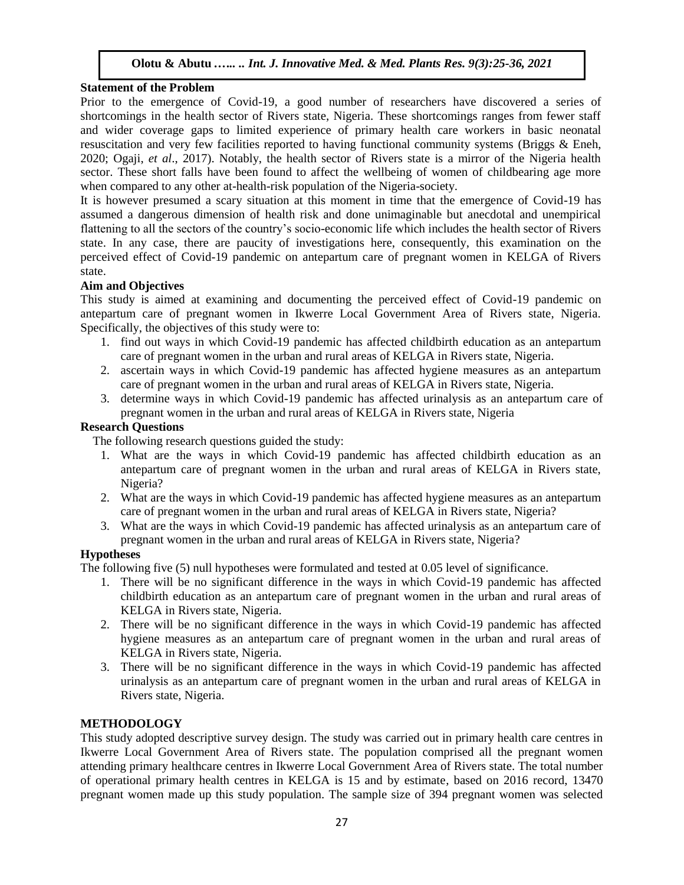#### **Statement of the Problem**

Prior to the emergence of Covid-19, a good number of researchers have discovered a series of shortcomings in the health sector of Rivers state, Nigeria. These shortcomings ranges from fewer staff and wider coverage gaps to limited experience of primary health care workers in basic neonatal resuscitation and very few facilities reported to having functional community systems (Briggs & Eneh, 2020; Ogaji, *et al*., 2017). Notably, the health sector of Rivers state is a mirror of the Nigeria health sector. These short falls have been found to affect the wellbeing of women of childbearing age more when compared to any other at-health-risk population of the Nigeria-society.

It is however presumed a scary situation at this moment in time that the emergence of Covid-19 has assumed a dangerous dimension of health risk and done unimaginable but anecdotal and unempirical flattening to all the sectors of the country's socio-economic life which includes the health sector of Rivers state. In any case, there are paucity of investigations here, consequently, this examination on the perceived effect of Covid-19 pandemic on antepartum care of pregnant women in KELGA of Rivers state.

# **Aim and Objectives**

This study is aimed at examining and documenting the perceived effect of Covid-19 pandemic on antepartum care of pregnant women in Ikwerre Local Government Area of Rivers state, Nigeria. Specifically, the objectives of this study were to:

- 1. find out ways in which Covid-19 pandemic has affected childbirth education as an antepartum care of pregnant women in the urban and rural areas of KELGA in Rivers state, Nigeria.
- 2. ascertain ways in which Covid-19 pandemic has affected hygiene measures as an antepartum care of pregnant women in the urban and rural areas of KELGA in Rivers state, Nigeria.
- 3. determine ways in which Covid-19 pandemic has affected urinalysis as an antepartum care of pregnant women in the urban and rural areas of KELGA in Rivers state, Nigeria

# **Research Questions**

The following research questions guided the study:

- 1. What are the ways in which Covid-19 pandemic has affected childbirth education as an antepartum care of pregnant women in the urban and rural areas of KELGA in Rivers state, Nigeria?
- 2. What are the ways in which Covid-19 pandemic has affected hygiene measures as an antepartum care of pregnant women in the urban and rural areas of KELGA in Rivers state, Nigeria?
- 3. What are the ways in which Covid-19 pandemic has affected urinalysis as an antepartum care of pregnant women in the urban and rural areas of KELGA in Rivers state, Nigeria?

# **Hypotheses**

The following five (5) null hypotheses were formulated and tested at 0.05 level of significance.

- 1. There will be no significant difference in the ways in which Covid-19 pandemic has affected childbirth education as an antepartum care of pregnant women in the urban and rural areas of KELGA in Rivers state, Nigeria.
- 2. There will be no significant difference in the ways in which Covid-19 pandemic has affected hygiene measures as an antepartum care of pregnant women in the urban and rural areas of KELGA in Rivers state, Nigeria.
- 3. There will be no significant difference in the ways in which Covid-19 pandemic has affected urinalysis as an antepartum care of pregnant women in the urban and rural areas of KELGA in Rivers state, Nigeria.

# **METHODOLOGY**

This study adopted descriptive survey design. The study was carried out in primary health care centres in Ikwerre Local Government Area of Rivers state. The population comprised all the pregnant women attending primary healthcare centres in Ikwerre Local Government Area of Rivers state. The total number of operational primary health centres in KELGA is 15 and by estimate, based on 2016 record, 13470 pregnant women made up this study population. The sample size of 394 pregnant women was selected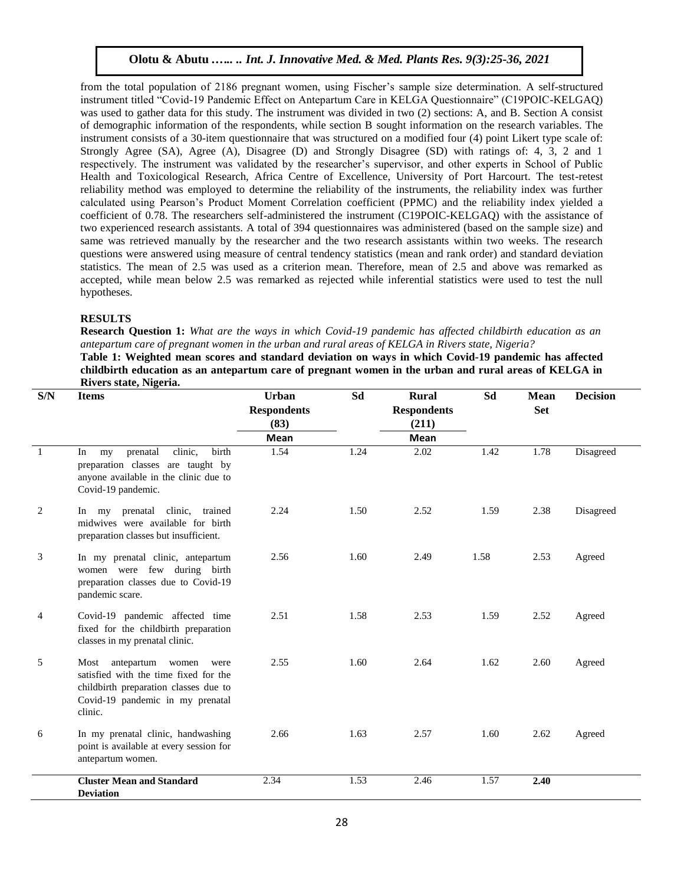from the total population of 2186 pregnant women, using Fischer's sample size determination. A self-structured instrument titled "Covid-19 Pandemic Effect on Antepartum Care in KELGA Questionnaire" (C19POIC-KELGAQ) was used to gather data for this study. The instrument was divided in two (2) sections: A, and B. Section A consist of demographic information of the respondents, while section B sought information on the research variables. The instrument consists of a 30-item questionnaire that was structured on a modified four (4) point Likert type scale of: Strongly Agree (SA), Agree (A), Disagree (D) and Strongly Disagree (SD) with ratings of: 4, 3, 2 and 1 respectively. The instrument was validated by the researcher's supervisor, and other experts in School of Public Health and Toxicological Research, Africa Centre of Excellence, University of Port Harcourt. The test-retest reliability method was employed to determine the reliability of the instruments, the reliability index was further calculated using Pearson's Product Moment Correlation coefficient (PPMC) and the reliability index yielded a coefficient of 0.78. The researchers self-administered the instrument (C19POIC-KELGAQ) with the assistance of two experienced research assistants. A total of 394 questionnaires was administered (based on the sample size) and same was retrieved manually by the researcher and the two research assistants within two weeks. The research questions were answered using measure of central tendency statistics (mean and rank order) and standard deviation statistics. The mean of 2.5 was used as a criterion mean. Therefore, mean of 2.5 and above was remarked as accepted, while mean below 2.5 was remarked as rejected while inferential statistics were used to test the null hypotheses.

#### **RESULTS**

**Research Question 1:** *What are the ways in which Covid-19 pandemic has affected childbirth education as an antepartum care of pregnant women in the urban and rural areas of KELGA in Rivers state, Nigeria?*

**Table 1: Weighted mean scores and standard deviation on ways in which Covid-19 pandemic has affected childbirth education as an antepartum care of pregnant women in the urban and rural areas of KELGA in Rivers state, Nigeria.** 

| S/N            | <b>Items</b>                                                                                                                                                         | Urban<br><b>Respondents</b><br>(83) | Sd   | <b>Rural</b><br><b>Respondents</b><br>(211) | Sd   | <b>Mean</b><br><b>Set</b> | <b>Decision</b> |
|----------------|----------------------------------------------------------------------------------------------------------------------------------------------------------------------|-------------------------------------|------|---------------------------------------------|------|---------------------------|-----------------|
|                |                                                                                                                                                                      | <b>Mean</b>                         |      | <b>Mean</b>                                 |      |                           |                 |
| $\overline{1}$ | clinic,<br>birth<br>prenatal<br>In<br>my<br>preparation classes are taught by<br>anyone available in the clinic due to<br>Covid-19 pandemic.                         | 1.54                                | 1.24 | 2.02                                        | 1.42 | 1.78                      | Disagreed       |
| 2              | In my prenatal clinic, trained<br>midwives were available for birth<br>preparation classes but insufficient.                                                         | 2.24                                | 1.50 | 2.52                                        | 1.59 | 2.38                      | Disagreed       |
| 3              | In my prenatal clinic, antepartum<br>women were few during birth<br>preparation classes due to Covid-19<br>pandemic scare.                                           | 2.56                                | 1.60 | 2.49                                        | 1.58 | 2.53                      | Agreed          |
| 4              | Covid-19 pandemic affected time<br>fixed for the childbirth preparation<br>classes in my prenatal clinic.                                                            | 2.51                                | 1.58 | 2.53                                        | 1.59 | 2.52                      | Agreed          |
| 5              | Most<br>antepartum<br>women<br>were<br>satisfied with the time fixed for the<br>childbirth preparation classes due to<br>Covid-19 pandemic in my prenatal<br>clinic. | 2.55                                | 1.60 | 2.64                                        | 1.62 | 2.60                      | Agreed          |
| 6              | In my prenatal clinic, handwashing<br>point is available at every session for<br>antepartum women.                                                                   | 2.66                                | 1.63 | 2.57                                        | 1.60 | 2.62                      | Agreed          |
|                | <b>Cluster Mean and Standard</b><br><b>Deviation</b>                                                                                                                 | 2.34                                | 1.53 | 2.46                                        | 1.57 | 2.40                      |                 |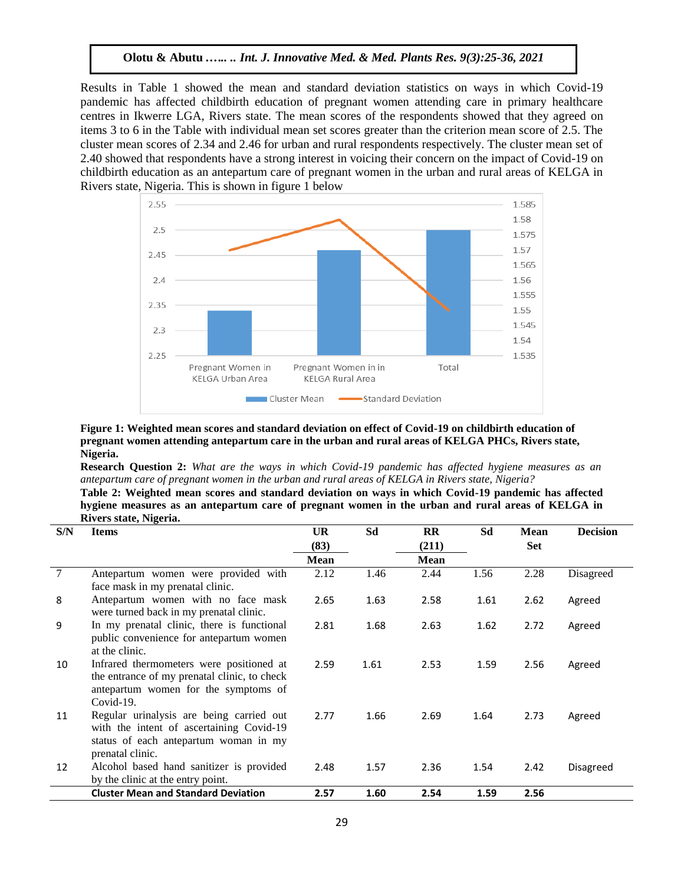Results in Table 1 showed the mean and standard deviation statistics on ways in which Covid-19 pandemic has affected childbirth education of pregnant women attending care in primary healthcare centres in Ikwerre LGA, Rivers state. The mean scores of the respondents showed that they agreed on items 3 to 6 in the Table with individual mean set scores greater than the criterion mean score of 2.5. The cluster mean scores of 2.34 and 2.46 for urban and rural respondents respectively. The cluster mean set of 2.40 showed that respondents have a strong interest in voicing their concern on the impact of Covid-19 on childbirth education as an antepartum care of pregnant women in the urban and rural areas of KELGA in Rivers state, Nigeria. This is shown in figure 1 below



#### **Figure 1: Weighted mean scores and standard deviation on effect of Covid-19 on childbirth education of pregnant women attending antepartum care in the urban and rural areas of KELGA PHCs, Rivers state, Nigeria.**

**Research Question 2:** *What are the ways in which Covid-19 pandemic has affected hygiene measures as an antepartum care of pregnant women in the urban and rural areas of KELGA in Rivers state, Nigeria?*

**Table 2: Weighted mean scores and standard deviation on ways in which Covid-19 pandemic has affected hygiene measures as an antepartum care of pregnant women in the urban and rural areas of KELGA in Rivers state, Nigeria.**

| S/N | <b>Items</b>                                                                  | <b>UR</b> | Sd   | $\mathbf{R}$ | Sd   | <b>Mean</b> | <b>Decision</b>  |
|-----|-------------------------------------------------------------------------------|-----------|------|--------------|------|-------------|------------------|
|     |                                                                               | (83)      |      | (211)        |      | <b>Set</b>  |                  |
|     |                                                                               | Mean      |      | Mean         |      |             |                  |
| 7   | Antepartum women were provided with                                           | 2.12      | 1.46 | 2.44         | 1.56 | 2.28        | Disagreed        |
|     | face mask in my prenatal clinic.                                              |           |      |              |      |             |                  |
| 8   | Antepartum women with no face mask                                            | 2.65      | 1.63 | 2.58         | 1.61 | 2.62        | Agreed           |
|     | were turned back in my prenatal clinic.                                       |           |      |              |      |             |                  |
| 9   | In my prenatal clinic, there is functional                                    | 2.81      | 1.68 | 2.63         | 1.62 | 2.72        | Agreed           |
|     | public convenience for antepartum women                                       |           |      |              |      |             |                  |
|     | at the clinic.                                                                |           |      |              |      |             |                  |
| 10  | Infrared thermometers were positioned at                                      | 2.59      | 1.61 | 2.53         | 1.59 | 2.56        | Agreed           |
|     | the entrance of my prenatal clinic, to check                                  |           |      |              |      |             |                  |
|     | antepartum women for the symptoms of                                          |           |      |              |      |             |                  |
|     | $Covid-19$ .                                                                  |           |      |              |      |             |                  |
| 11  | Regular urinalysis are being carried out                                      | 2.77      | 1.66 | 2.69         | 1.64 | 2.73        | Agreed           |
|     | with the intent of ascertaining Covid-19                                      |           |      |              |      |             |                  |
|     | status of each antepartum woman in my                                         |           |      |              |      |             |                  |
|     | prenatal clinic.                                                              |           |      |              |      |             |                  |
| 12  | Alcohol based hand sanitizer is provided<br>by the clinic at the entry point. | 2.48      | 1.57 | 2.36         | 1.54 | 2.42        | <b>Disagreed</b> |
|     | <b>Cluster Mean and Standard Deviation</b>                                    |           |      |              |      |             |                  |
|     |                                                                               | 2.57      | 1.60 | 2.54         | 1.59 | 2.56        |                  |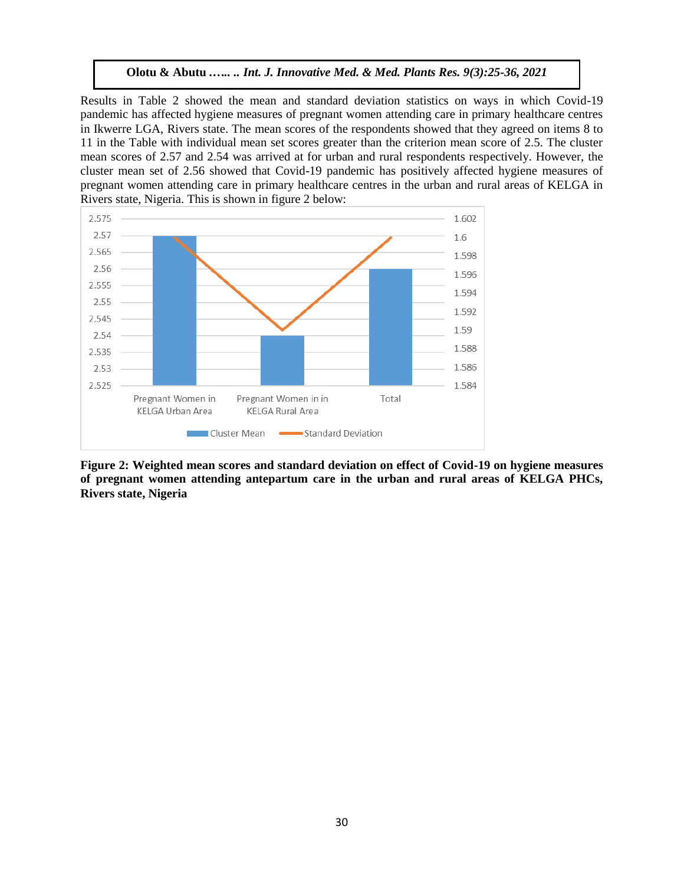Results in Table 2 showed the mean and standard deviation statistics on ways in which Covid-19 pandemic has affected hygiene measures of pregnant women attending care in primary healthcare centres in Ikwerre LGA, Rivers state. The mean scores of the respondents showed that they agreed on items 8 to 11 in the Table with individual mean set scores greater than the criterion mean score of 2.5. The cluster mean scores of 2.57 and 2.54 was arrived at for urban and rural respondents respectively. However, the cluster mean set of 2.56 showed that Covid-19 pandemic has positively affected hygiene measures of pregnant women attending care in primary healthcare centres in the urban and rural areas of KELGA in Rivers state, Nigeria. This is shown in figure 2 below:



**Figure 2: Weighted mean scores and standard deviation on effect of Covid-19 on hygiene measures of pregnant women attending antepartum care in the urban and rural areas of KELGA PHCs, Rivers state, Nigeria**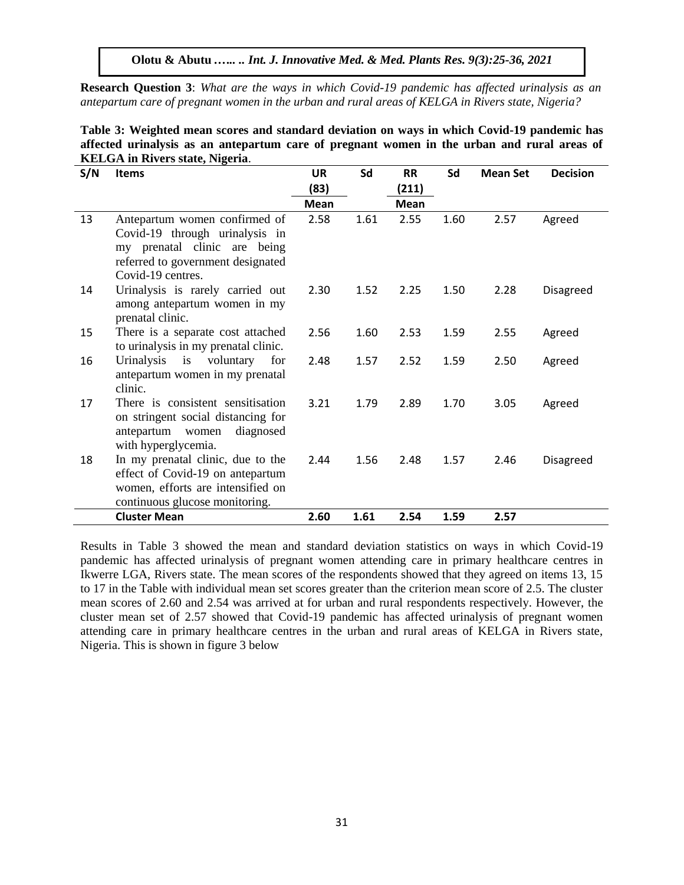**Research Question 3**: *What are the ways in which Covid-19 pandemic has affected urinalysis as an antepartum care of pregnant women in the urban and rural areas of KELGA in Rivers state, Nigeria?*

|                                        | Table 3: Weighted mean scores and standard deviation on ways in which Covid-19 pandemic has |  |  |  |  |
|----------------------------------------|---------------------------------------------------------------------------------------------|--|--|--|--|
|                                        | affected urinalysis as an antepartum care of pregnant women in the urban and rural areas of |  |  |  |  |
| <b>KELGA</b> in Rivers state, Nigeria. |                                                                                             |  |  |  |  |

| S/N | <b>Items</b>                                                                                                                                              | <b>UR</b><br>(83) | Sd   | <b>RR</b><br>(211) | Sd   | <b>Mean Set</b> | <b>Decision</b> |
|-----|-----------------------------------------------------------------------------------------------------------------------------------------------------------|-------------------|------|--------------------|------|-----------------|-----------------|
|     |                                                                                                                                                           | <b>Mean</b>       |      | <b>Mean</b>        |      |                 |                 |
| 13  | Antepartum women confirmed of<br>Covid-19 through urinalysis in<br>my prenatal clinic are being<br>referred to government designated<br>Covid-19 centres. | 2.58              | 1.61 | 2.55               | 1.60 | 2.57            | Agreed          |
| 14  | Urinalysis is rarely carried out<br>among antepartum women in my<br>prenatal clinic.                                                                      | 2.30              | 1.52 | 2.25               | 1.50 | 2.28            | Disagreed       |
| 15  | There is a separate cost attached<br>to urinalysis in my prenatal clinic.                                                                                 | 2.56              | 1.60 | 2.53               | 1.59 | 2.55            | Agreed          |
| 16  | Urinalysis<br>is voluntary<br>for<br>antepartum women in my prenatal<br>clinic.                                                                           | 2.48              | 1.57 | 2.52               | 1.59 | 2.50            | Agreed          |
| 17  | There is consistent sensitisation<br>on stringent social distancing for<br>diagnosed<br>antepartum women<br>with hyperglycemia.                           | 3.21              | 1.79 | 2.89               | 1.70 | 3.05            | Agreed          |
| 18  | In my prenatal clinic, due to the<br>effect of Covid-19 on antepartum<br>women, efforts are intensified on<br>continuous glucose monitoring.              | 2.44              | 1.56 | 2.48               | 1.57 | 2.46            | Disagreed       |
|     | <b>Cluster Mean</b>                                                                                                                                       | 2.60              | 1.61 | 2.54               | 1.59 | 2.57            |                 |

Results in Table 3 showed the mean and standard deviation statistics on ways in which Covid-19 pandemic has affected urinalysis of pregnant women attending care in primary healthcare centres in Ikwerre LGA, Rivers state. The mean scores of the respondents showed that they agreed on items 13, 15 to 17 in the Table with individual mean set scores greater than the criterion mean score of 2.5. The cluster mean scores of 2.60 and 2.54 was arrived at for urban and rural respondents respectively. However, the cluster mean set of 2.57 showed that Covid-19 pandemic has affected urinalysis of pregnant women attending care in primary healthcare centres in the urban and rural areas of KELGA in Rivers state, Nigeria. This is shown in figure 3 below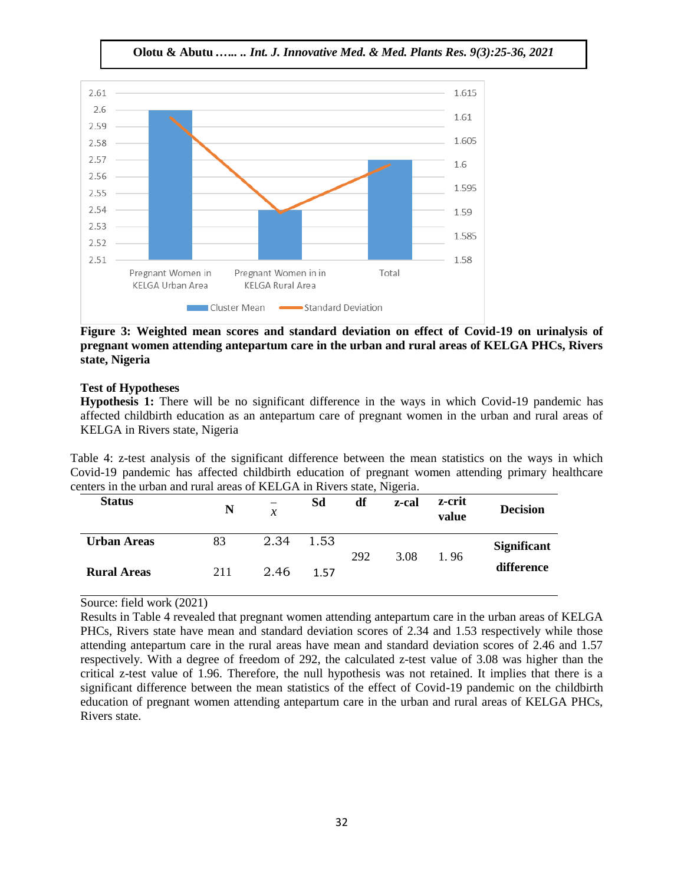**Olotu & Abutu** *.….. .. Int. J. Innovative Med. & Med. Plants Res. 9(3):25-36, 2021*



**Figure 3: Weighted mean scores and standard deviation on effect of Covid-19 on urinalysis of pregnant women attending antepartum care in the urban and rural areas of KELGA PHCs, Rivers state, Nigeria**

# **Test of Hypotheses**

**Hypothesis 1:** There will be no significant difference in the ways in which Covid-19 pandemic has affected childbirth education as an antepartum care of pregnant women in the urban and rural areas of KELGA in Rivers state, Nigeria

Table 4: z-test analysis of the significant difference between the mean statistics on the ways in which Covid-19 pandemic has affected childbirth education of pregnant women attending primary healthcare centers in the urban and rural areas of KELGA in Rivers state, Nigeria.

| <b>Status</b>      | N   | $\mathcal{X}$ | Sd   | df  | ຼ<br>z-cal | z-crit<br>value | <b>Decision</b>    |
|--------------------|-----|---------------|------|-----|------------|-----------------|--------------------|
| <b>Urban Areas</b> | 83  | 2.34          | 1.53 | 292 | 3.08       | 1.96            | <b>Significant</b> |
| <b>Rural Areas</b> | 211 | 2.46          | 1.57 |     |            |                 | difference         |

Source: field work (2021)

Results in Table 4 revealed that pregnant women attending antepartum care in the urban areas of KELGA PHCs, Rivers state have mean and standard deviation scores of 2.34 and 1.53 respectively while those attending antepartum care in the rural areas have mean and standard deviation scores of 2.46 and 1.57 respectively. With a degree of freedom of 292, the calculated z-test value of 3.08 was higher than the critical z-test value of 1.96. Therefore, the null hypothesis was not retained. It implies that there is a significant difference between the mean statistics of the effect of Covid-19 pandemic on the childbirth education of pregnant women attending antepartum care in the urban and rural areas of KELGA PHCs, Rivers state.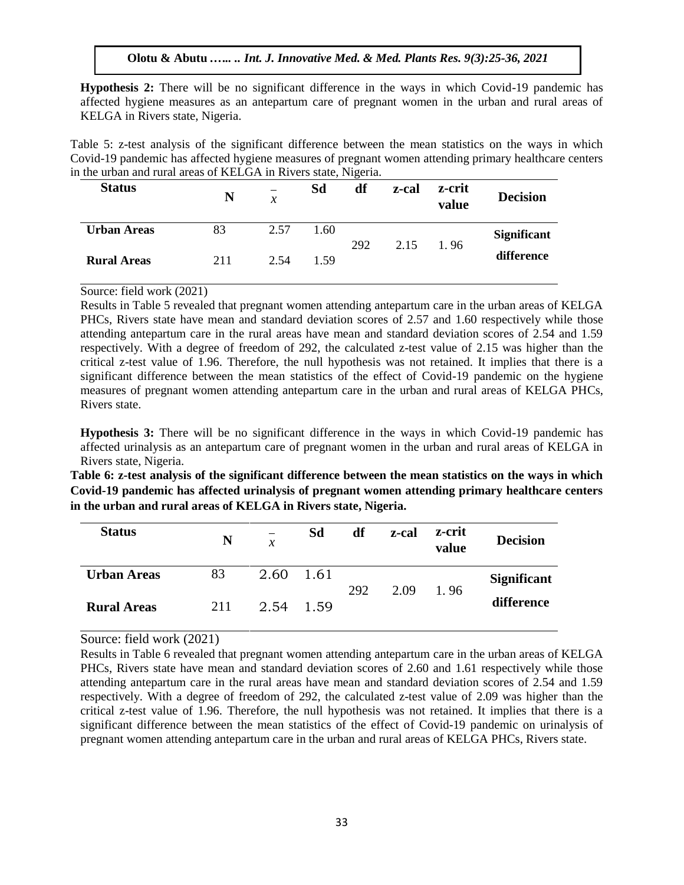**Hypothesis 2:** There will be no significant difference in the ways in which Covid-19 pandemic has affected hygiene measures as an antepartum care of pregnant women in the urban and rural areas of KELGA in Rivers state, Nigeria.

Table 5: z-test analysis of the significant difference between the mean statistics on the ways in which Covid-19 pandemic has affected hygiene measures of pregnant women attending primary healthcare centers in the urban and rural areas of KELGA in Rivers state, Nigeria.

| <b>Status</b>      | N   | -<br>$\mathcal{X}$ | Sd   | df  | z-cal | z-crit<br>value | <b>Decision</b>    |
|--------------------|-----|--------------------|------|-----|-------|-----------------|--------------------|
| <b>Urban Areas</b> | 83  | 2.57               | 1.60 | 292 | 2.15  | 1.96            | <b>Significant</b> |
| <b>Rural Areas</b> | 211 | 2.54               | 1.59 |     |       |                 | difference         |

#### Source: field work (2021)

Results in Table 5 revealed that pregnant women attending antepartum care in the urban areas of KELGA PHCs, Rivers state have mean and standard deviation scores of 2.57 and 1.60 respectively while those attending antepartum care in the rural areas have mean and standard deviation scores of 2.54 and 1.59 respectively. With a degree of freedom of 292, the calculated z-test value of 2.15 was higher than the critical z-test value of 1.96. Therefore, the null hypothesis was not retained. It implies that there is a significant difference between the mean statistics of the effect of Covid-19 pandemic on the hygiene measures of pregnant women attending antepartum care in the urban and rural areas of KELGA PHCs, Rivers state.

**Hypothesis 3:** There will be no significant difference in the ways in which Covid-19 pandemic has affected urinalysis as an antepartum care of pregnant women in the urban and rural areas of KELGA in Rivers state, Nigeria.

**Table 6: z-test analysis of the significant difference between the mean statistics on the ways in which Covid-19 pandemic has affected urinalysis of pregnant women attending primary healthcare centers in the urban and rural areas of KELGA in Rivers state, Nigeria.**

| <b>Status</b>      | N   | $\boldsymbol{\chi}$ | Sd     | df  | z-cal | z-crit<br>value | <b>Decision</b>    |
|--------------------|-----|---------------------|--------|-----|-------|-----------------|--------------------|
| <b>Urban Areas</b> | 83  | 2.60                | - 1.61 | 292 | 2.09  | 1.96            | <b>Significant</b> |
| <b>Rural Areas</b> | 211 | 2.54                | - 1.59 |     |       |                 | difference         |

Source: field work (2021)

Results in Table 6 revealed that pregnant women attending antepartum care in the urban areas of KELGA PHCs, Rivers state have mean and standard deviation scores of 2.60 and 1.61 respectively while those attending antepartum care in the rural areas have mean and standard deviation scores of 2.54 and 1.59 respectively. With a degree of freedom of 292, the calculated z-test value of 2.09 was higher than the critical z-test value of 1.96. Therefore, the null hypothesis was not retained. It implies that there is a significant difference between the mean statistics of the effect of Covid-19 pandemic on urinalysis of pregnant women attending antepartum care in the urban and rural areas of KELGA PHCs, Rivers state.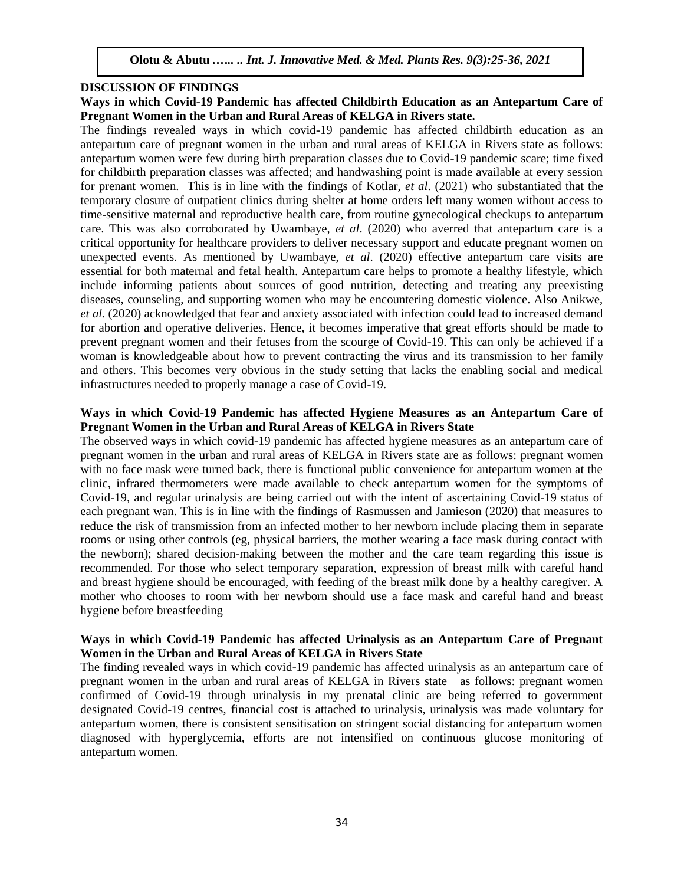#### **DISCUSSION OF FINDINGS**

# **Ways in which Covid-19 Pandemic has affected Childbirth Education as an Antepartum Care of Pregnant Women in the Urban and Rural Areas of KELGA in Rivers state.**

The findings revealed ways in which covid-19 pandemic has affected childbirth education as an antepartum care of pregnant women in the urban and rural areas of KELGA in Rivers state as follows: antepartum women were few during birth preparation classes due to Covid-19 pandemic scare; time fixed for childbirth preparation classes was affected; and handwashing point is made available at every session for prenant women. This is in line with the findings of Kotlar, *et al*. (2021) who substantiated that the temporary closure of outpatient clinics during shelter at home orders left many women without access to time-sensitive maternal and reproductive health care, from routine gynecological checkups to antepartum care. This was also corroborated by Uwambaye, *et al*. (2020) who averred that antepartum care is a critical opportunity for healthcare providers to deliver necessary support and educate pregnant women on unexpected events. As mentioned by Uwambaye, *et al*. (2020) effective antepartum care visits are essential for both maternal and fetal health. Antepartum care helps to promote a healthy lifestyle, which include informing patients about sources of good nutrition, detecting and treating any preexisting diseases, counseling, and supporting women who may be encountering domestic violence. Also Anikwe, *et al.* (2020) acknowledged that fear and anxiety associated with infection could lead to increased demand for abortion and operative deliveries. Hence, it becomes imperative that great efforts should be made to prevent pregnant women and their fetuses from the scourge of Covid-19. This can only be achieved if a woman is knowledgeable about how to prevent contracting the virus and its transmission to her family and others. This becomes very obvious in the study setting that lacks the enabling social and medical infrastructures needed to properly manage a case of Covid-19.

#### **Ways in which Covid-19 Pandemic has affected Hygiene Measures as an Antepartum Care of Pregnant Women in the Urban and Rural Areas of KELGA in Rivers State**

The observed ways in which covid-19 pandemic has affected hygiene measures as an antepartum care of pregnant women in the urban and rural areas of KELGA in Rivers state are as follows: pregnant women with no face mask were turned back, there is functional public convenience for antepartum women at the clinic, infrared thermometers were made available to check antepartum women for the symptoms of Covid-19, and regular urinalysis are being carried out with the intent of ascertaining Covid-19 status of each pregnant wan. This is in line with the findings of Rasmussen and Jamieson (2020) that measures to reduce the risk of transmission from an infected mother to her newborn include placing them in separate rooms or using other controls (eg, physical barriers, the mother wearing a face mask during contact with the newborn); shared decision-making between the mother and the care team regarding this issue is recommended. For those who select temporary separation, expression of breast milk with careful hand and breast hygiene should be encouraged, with feeding of the breast milk done by a healthy caregiver. A mother who chooses to room with her newborn should use a face mask and careful hand and breast hygiene before breastfeeding

# **Ways in which Covid-19 Pandemic has affected Urinalysis as an Antepartum Care of Pregnant Women in the Urban and Rural Areas of KELGA in Rivers State**

The finding revealed ways in which covid-19 pandemic has affected urinalysis as an antepartum care of pregnant women in the urban and rural areas of KELGA in Rivers state as follows: pregnant women confirmed of Covid-19 through urinalysis in my prenatal clinic are being referred to government designated Covid-19 centres, financial cost is attached to urinalysis, urinalysis was made voluntary for antepartum women, there is consistent sensitisation on stringent social distancing for antepartum women diagnosed with hyperglycemia, efforts are not intensified on continuous glucose monitoring of antepartum women.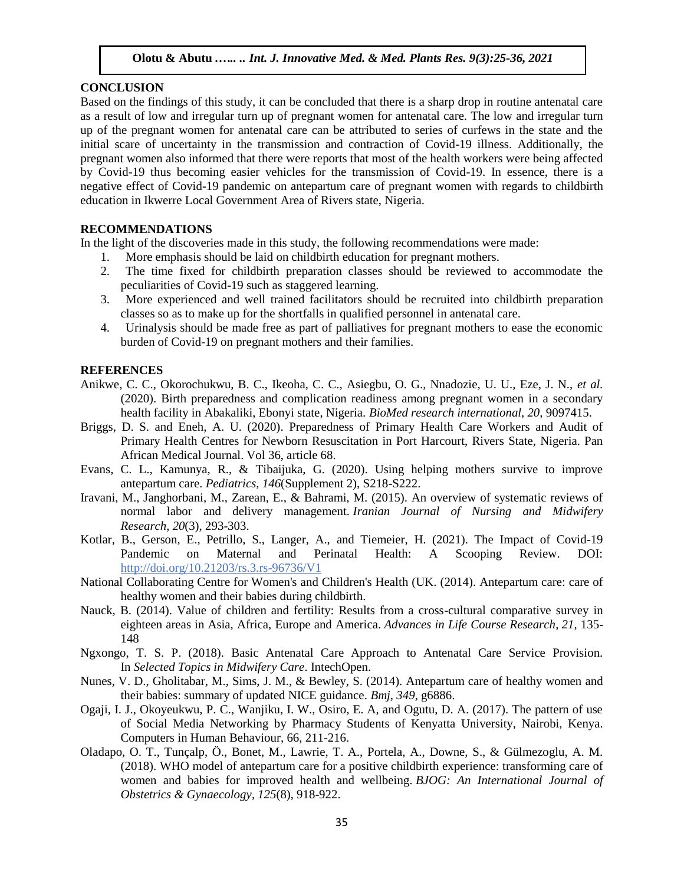#### **CONCLUSION**

Based on the findings of this study, it can be concluded that there is a sharp drop in routine antenatal care as a result of low and irregular turn up of pregnant women for antenatal care. The low and irregular turn up of the pregnant women for antenatal care can be attributed to series of curfews in the state and the initial scare of uncertainty in the transmission and contraction of Covid-19 illness. Additionally, the pregnant women also informed that there were reports that most of the health workers were being affected by Covid-19 thus becoming easier vehicles for the transmission of Covid-19. In essence, there is a negative effect of Covid-19 pandemic on antepartum care of pregnant women with regards to childbirth education in Ikwerre Local Government Area of Rivers state, Nigeria.

# **RECOMMENDATIONS**

In the light of the discoveries made in this study, the following recommendations were made:

- 1. More emphasis should be laid on childbirth education for pregnant mothers.
- 2. The time fixed for childbirth preparation classes should be reviewed to accommodate the peculiarities of Covid-19 such as staggered learning.
- 3. More experienced and well trained facilitators should be recruited into childbirth preparation classes so as to make up for the shortfalls in qualified personnel in antenatal care.
- 4. Urinalysis should be made free as part of palliatives for pregnant mothers to ease the economic burden of Covid-19 on pregnant mothers and their families.

#### **REFERENCES**

- Anikwe, C. C., Okorochukwu, B. C., Ikeoha, C. C., Asiegbu, O. G., Nnadozie, U. U., Eze, J. N., *et al.* (2020). Birth preparedness and complication readiness among pregnant women in a secondary health facility in Abakaliki, Ebonyi state, Nigeria. *BioMed research international*, *20*, 9097415.
- Briggs, D. S. and Eneh, A. U. (2020). Preparedness of Primary Health Care Workers and Audit of Primary Health Centres for Newborn Resuscitation in Port Harcourt, Rivers State, Nigeria. Pan African Medical Journal. Vol 36, article 68.
- Evans, C. L., Kamunya, R., & Tibaijuka, G. (2020). Using helping mothers survive to improve antepartum care. *Pediatrics*, *146*(Supplement 2), S218-S222.
- Iravani, M., Janghorbani, M., Zarean, E., & Bahrami, M. (2015). An overview of systematic reviews of normal labor and delivery management. *Iranian Journal of Nursing and Midwifery Research*, *20*(3), 293-303.
- Kotlar, B., Gerson, E., Petrillo, S., Langer, A., and Tiemeier, H. (2021). The Impact of Covid-19 Pandemic on Maternal and Perinatal Health: A Scooping Review. DOI: <http://doi.org/10.21203/rs.3.rs-96736/V1>
- National Collaborating Centre for Women's and Children's Health (UK. (2014). Antepartum care: care of healthy women and their babies during childbirth.
- Nauck, B. (2014). Value of children and fertility: Results from a cross-cultural comparative survey in eighteen areas in Asia, Africa, Europe and America. *Advances in Life Course Research*, *21*, 135- 148
- Ngxongo, T. S. P. (2018). Basic Antenatal Care Approach to Antenatal Care Service Provision. In *Selected Topics in Midwifery Care*. IntechOpen.
- Nunes, V. D., Gholitabar, M., Sims, J. M., & Bewley, S. (2014). Antepartum care of healthy women and their babies: summary of updated NICE guidance. *Bmj*, *349*, g6886.
- Ogaji, I. J., Okoyeukwu, P. C., Wanjiku, I. W., Osiro, E. A, and Ogutu, D. A. (2017). The pattern of use of Social Media Networking by Pharmacy Students of Kenyatta University, Nairobi, Kenya. Computers in Human Behaviour, 66, 211-216.
- Oladapo, O. T., Tunçalp, Ö., Bonet, M., Lawrie, T. A., Portela, A., Downe, S., & Gülmezoglu, A. M. (2018). WHO model of antepartum care for a positive childbirth experience: transforming care of women and babies for improved health and wellbeing. *BJOG: An International Journal of Obstetrics & Gynaecology*, *125*(8), 918-922.